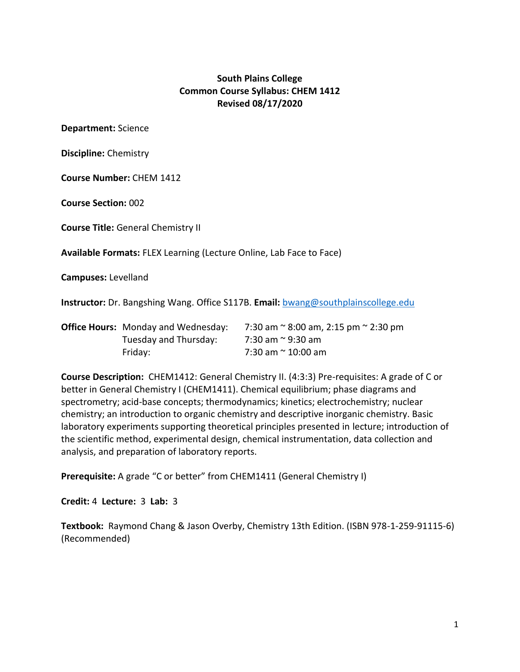## **South Plains College Common Course Syllabus: CHEM 1412 Revised 08/17/2020**

**Department:** Science

**Discipline:** Chemistry

**Course Number:** CHEM 1412

**Course Section:** 002

**Course Title:** General Chemistry II

**Available Formats:** FLEX Learning (Lecture Online, Lab Face to Face)

**Campuses:** Levelland

**Instructor:** Dr. Bangshing Wang. Office S117B. **Email:** [bwang@southplainscollege.edu](mailto:bwang@southplainscollege.edu)

| <b>Office Hours:</b> Monday and Wednesday: | 7:30 am $\approx$ 8:00 am, 2:15 pm $\approx$ 2:30 pm |
|--------------------------------------------|------------------------------------------------------|
| Tuesday and Thursday:                      | 7:30 am ~ 9:30 am                                    |
| Fridav:                                    | 7:30 am ~ 10:00 am                                   |

**Course Description:** CHEM1412: General Chemistry II. (4:3:3) Pre-requisites: A grade of C or better in General Chemistry I (CHEM1411). Chemical equilibrium; phase diagrams and spectrometry; acid-base concepts; thermodynamics; kinetics; electrochemistry; nuclear chemistry; an introduction to organic chemistry and descriptive inorganic chemistry. Basic laboratory experiments supporting theoretical principles presented in lecture; introduction of the scientific method, experimental design, chemical instrumentation, data collection and analysis, and preparation of laboratory reports.

**Prerequisite:** A grade "C or better" from CHEM1411 (General Chemistry I)

**Credit:** 4 **Lecture:** 3 **Lab:** 3

**Textbook:** Raymond Chang & Jason Overby, Chemistry 13th Edition. (ISBN 978-1-259-91115-6) (Recommended)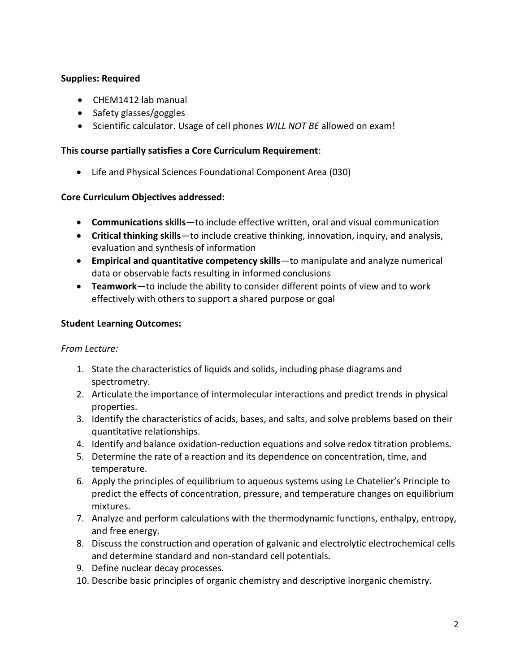## **Supplies: Required**

- CHEM1412 lab manual
- $\bullet$  Safety glasses/goggles
- Scientific calculator. Usage of cell phones *WILL NOT BE* allowed on exam!

#### **This course partially satisfies a Core Curriculum Requirement**:

Life and Physical Sciences Foundational Component Area (030)

## **Core Curriculum Objectives addressed:**

- **Communications skills**—to include effective written, oral and visual communication
- **Critical thinking skills**—to include creative thinking, innovation, inquiry, and analysis, evaluation and synthesis of information
- **Empirical and quantitative competency skills**—to manipulate and analyze numerical data or observable facts resulting in informed conclusions
- **Teamwork**—to include the ability to consider different points of view and to work effectively with others to support a shared purpose or goal

## **Student Learning Outcomes:**

## *From Lecture:*

- 1. State the characteristics of liquids and solids, including phase diagrams and spectrometry.
- 2. Articulate the importance of intermolecular interactions and predict trends in physical properties.
- 3. Identify the characteristics of acids, bases, and salts, and solve problems based on their quantitative relationships.
- 4. Identify and balance oxidation-reduction equations and solve redox titration problems.
- 5. Determine the rate of a reaction and its dependence on concentration, time, and temperature.
- 6. Apply the principles of equilibrium to aqueous systems using Le Chatelier's Principle to predict the effects of concentration, pressure, and temperature changes on equilibrium mixtures.
- 7. Analyze and perform calculations with the thermodynamic functions, enthalpy, entropy, and free energy.
- 8. Discuss the construction and operation of galvanic and electrolytic electrochemical cells and determine standard and non‐standard cell potentials.
- 9. Define nuclear decay processes.
- 10. Describe basic principles of organic chemistry and descriptive inorganic chemistry.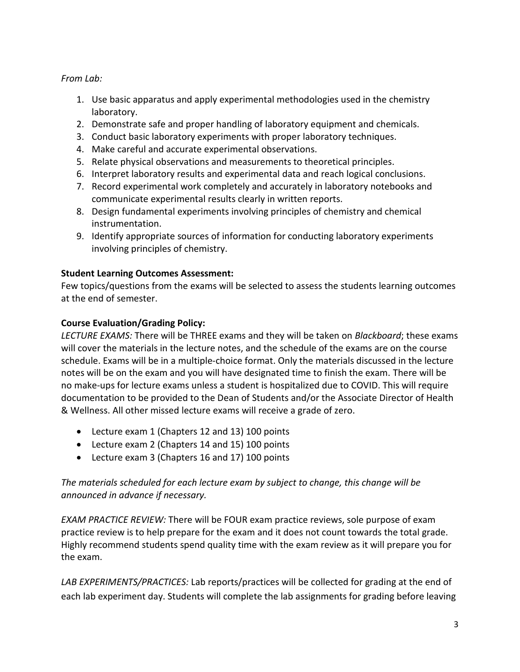## *From Lab:*

- 1. Use basic apparatus and apply experimental methodologies used in the chemistry laboratory.
- 2. Demonstrate safe and proper handling of laboratory equipment and chemicals.
- 3. Conduct basic laboratory experiments with proper laboratory techniques.
- 4. Make careful and accurate experimental observations.
- 5. Relate physical observations and measurements to theoretical principles.
- 6. Interpret laboratory results and experimental data and reach logical conclusions.
- 7. Record experimental work completely and accurately in laboratory notebooks and communicate experimental results clearly in written reports.
- 8. Design fundamental experiments involving principles of chemistry and chemical instrumentation.
- 9. Identify appropriate sources of information for conducting laboratory experiments involving principles of chemistry.

## **Student Learning Outcomes Assessment:**

Few topics/questions from the exams will be selected to assess the students learning outcomes at the end of semester.

## **Course Evaluation/Grading Policy:**

*LECTURE EXAMS:* There will be THREE exams and they will be taken on *Blackboard*; these exams will cover the materials in the lecture notes, and the schedule of the exams are on the course schedule. Exams will be in a multiple-choice format. Only the materials discussed in the lecture notes will be on the exam and you will have designated time to finish the exam. There will be no make-ups for lecture exams unless a student is hospitalized due to COVID. This will require documentation to be provided to the Dean of Students and/or the Associate Director of Health & Wellness. All other missed lecture exams will receive a grade of zero.

- Lecture exam 1 (Chapters 12 and 13) 100 points
- Lecture exam 2 (Chapters 14 and 15) 100 points
- Lecture exam 3 (Chapters 16 and 17) 100 points

## *The materials scheduled for each lecture exam by subject to change, this change will be announced in advance if necessary.*

*EXAM PRACTICE REVIEW:* There will be FOUR exam practice reviews, sole purpose of exam practice review is to help prepare for the exam and it does not count towards the total grade. Highly recommend students spend quality time with the exam review as it will prepare you for the exam.

*LAB EXPERIMENTS/PRACTICES:* Lab reports/practices will be collected for grading at the end of each lab experiment day. Students will complete the lab assignments for grading before leaving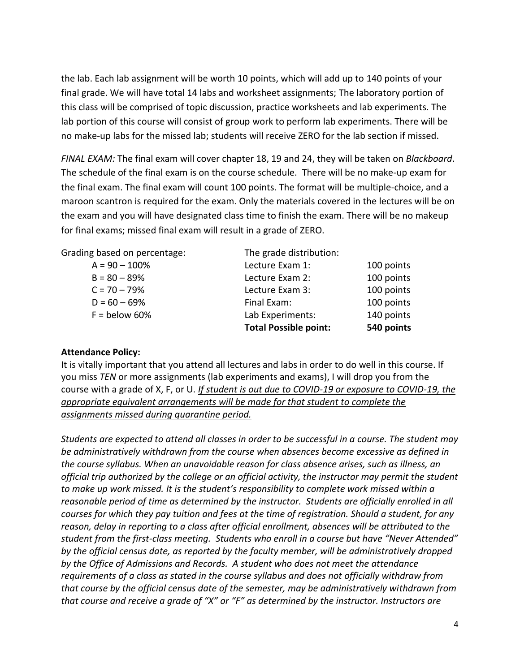the lab. Each lab assignment will be worth 10 points, which will add up to 140 points of your final grade. We will have total 14 labs and worksheet assignments; The laboratory portion of this class will be comprised of topic discussion, practice worksheets and lab experiments. The lab portion of this course will consist of group work to perform lab experiments. There will be no make-up labs for the missed lab; students will receive ZERO for the lab section if missed.

*FINAL EXAM:* The final exam will cover chapter 18, 19 and 24, they will be taken on *Blackboard*. The schedule of the final exam is on the course schedule. There will be no make-up exam for the final exam. The final exam will count 100 points. The format will be multiple-choice, and a maroon scantron is required for the exam. Only the materials covered in the lectures will be on the exam and you will have designated class time to finish the exam. There will be no makeup for final exams; missed final exam will result in a grade of ZERO.

Grading based on percentage: The grade distribution:

|                 | <b>Total Possible point:</b> | 540 points |
|-----------------|------------------------------|------------|
| $F =$ below 60% | Lab Experiments:             | 140 points |
| $D = 60 - 69%$  | Final Exam:                  | 100 points |
| $C = 70 - 79%$  | Lecture Exam 3:              | 100 points |
| $B = 80 - 89%$  | Lecture Exam 2:              | 100 points |
| $A = 90 - 100%$ | Lecture Exam 1:              | 100 points |
|                 |                              |            |

#### **Attendance Policy:**

It is vitally important that you attend all lectures and labs in order to do well in this course. If you miss *TEN* or more assignments (lab experiments and exams), I will drop you from the course with a grade of X, F, or U. *If student is out due to COVID-19 or exposure to COVID-19, the appropriate equivalent arrangements will be made for that student to complete the assignments missed during quarantine period.*

*Students are expected to attend all classes in order to be successful in a course. The student may be administratively withdrawn from the course when absences become excessive as defined in the course syllabus. When an unavoidable reason for class absence arises, such as illness, an official trip authorized by the college or an official activity, the instructor may permit the student to make up work missed. It is the student's responsibility to complete work missed within a reasonable period of time as determined by the instructor. Students are officially enrolled in all courses for which they pay tuition and fees at the time of registration. Should a student, for any reason, delay in reporting to a class after official enrollment, absences will be attributed to the student from the first-class meeting. Students who enroll in a course but have "Never Attended" by the official census date, as reported by the faculty member, will be administratively dropped by the Office of Admissions and Records. A student who does not meet the attendance requirements of a class as stated in the course syllabus and does not officially withdraw from that course by the official census date of the semester, may be administratively withdrawn from that course and receive a grade of "X" or "F" as determined by the instructor. Instructors are*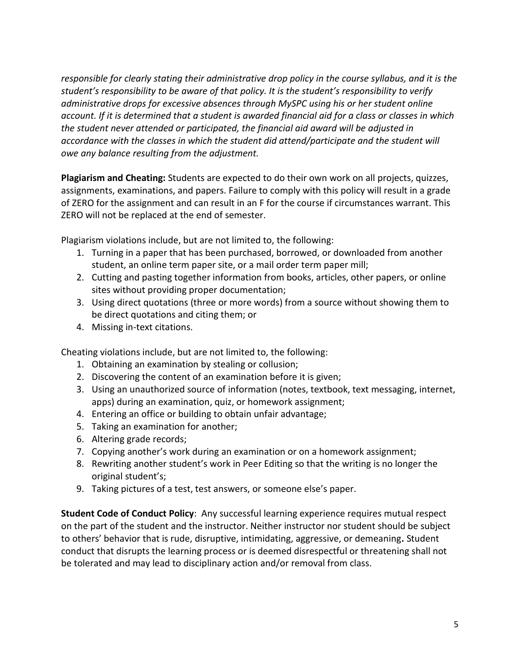*responsible for clearly stating their administrative drop policy in the course syllabus, and it is the student's responsibility to be aware of that policy. It is the student's responsibility to verify administrative drops for excessive absences through MySPC using his or her student online account. If it is determined that a student is awarded financial aid for a class or classes in which the student never attended or participated, the financial aid award will be adjusted in accordance with the classes in which the student did attend/participate and the student will owe any balance resulting from the adjustment.*

**Plagiarism and Cheating:** Students are expected to do their own work on all projects, quizzes, assignments, examinations, and papers. Failure to comply with this policy will result in a grade of ZERO for the assignment and can result in an F for the course if circumstances warrant. This ZERO will not be replaced at the end of semester.

Plagiarism violations include, but are not limited to, the following:

- 1. Turning in a paper that has been purchased, borrowed, or downloaded from another student, an online term paper site, or a mail order term paper mill;
- 2. Cutting and pasting together information from books, articles, other papers, or online sites without providing proper documentation;
- 3. Using direct quotations (three or more words) from a source without showing them to be direct quotations and citing them; or
- 4. Missing in-text citations.

Cheating violations include, but are not limited to, the following:

- 1. Obtaining an examination by stealing or collusion;
- 2. Discovering the content of an examination before it is given;
- 3. Using an unauthorized source of information (notes, textbook, text messaging, internet, apps) during an examination, quiz, or homework assignment;
- 4. Entering an office or building to obtain unfair advantage;
- 5. Taking an examination for another;
- 6. Altering grade records;
- 7. Copying another's work during an examination or on a homework assignment;
- 8. Rewriting another student's work in Peer Editing so that the writing is no longer the original student's;
- 9. Taking pictures of a test, test answers, or someone else's paper.

**Student Code of Conduct Policy**: Any successful learning experience requires mutual respect on the part of the student and the instructor. Neither instructor nor student should be subject to others' behavior that is rude, disruptive, intimidating, aggressive, or demeaning**.** Student conduct that disrupts the learning process or is deemed disrespectful or threatening shall not be tolerated and may lead to disciplinary action and/or removal from class.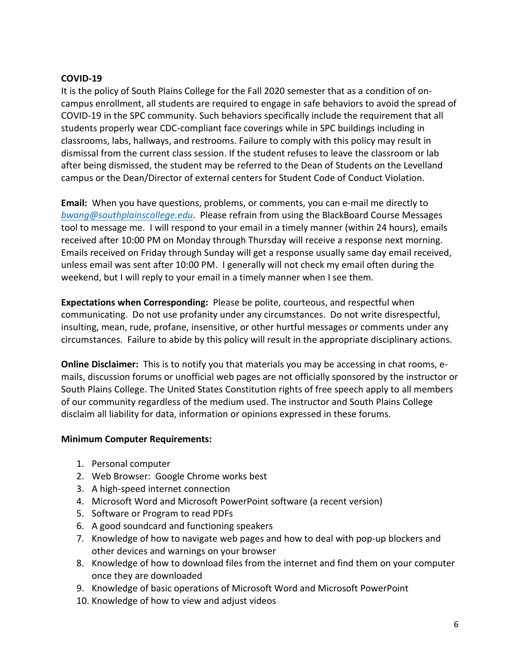#### **COVID-19**

It is the policy of South Plains College for the Fall 2020 semester that as a condition of oncampus enrollment, all students are required to engage in safe behaviors to avoid the spread of COVID-19 in the SPC community. Such behaviors specifically include the requirement that all students properly wear CDC-compliant face coverings while in SPC buildings including in classrooms, labs, hallways, and restrooms. Failure to comply with this policy may result in dismissal from the current class session. If the student refuses to leave the classroom or lab after being dismissed, the student may be referred to the Dean of Students on the Levelland campus or the Dean/Director of external centers for Student Code of Conduct Violation.

**Email:** When you have questions, problems, or comments, you can e-mail me directly to *bwang@southplainscollege.edu*. Please refrain from using the BlackBoard Course Messages tool to message me. I will respond to your email in a timely manner (within 24 hours), emails received after 10:00 PM on Monday through Thursday will receive a response next morning. Emails received on Friday through Sunday will get a response usually same day email received, unless email was sent after 10:00 PM. I generally will not check my email often during the weekend, but I will reply to your email in a timely manner when I see them.

**Expectations when Corresponding:** Please be polite, courteous, and respectful when communicating. Do not use profanity under any circumstances. Do not write disrespectful, insulting, mean, rude, profane, insensitive, or other hurtful messages or comments under any circumstances. Failure to abide by this policy will result in the appropriate disciplinary actions.

**Online Disclaimer:** This is to notify you that materials you may be accessing in chat rooms, emails, discussion forums or unofficial web pages are not officially sponsored by the instructor or South Plains College. The United States Constitution rights of free speech apply to all members of our community regardless of the medium used. The instructor and South Plains College disclaim all liability for data, information or opinions expressed in these forums.

## **Minimum Computer Requirements:**

- 1. Personal computer
- 2. Web Browser: Google Chrome works best
- 3. A high-speed internet connection
- 4. Microsoft Word and Microsoft PowerPoint software (a recent version)
- 5. Software or Program to read PDFs
- 6. A good soundcard and functioning speakers
- 7. Knowledge of how to navigate web pages and how to deal with pop-up blockers and other devices and warnings on your browser
- 8. Knowledge of how to download files from the internet and find them on your computer once they are downloaded
- 9. Knowledge of basic operations of Microsoft Word and Microsoft PowerPoint
- 10. Knowledge of how to view and adjust videos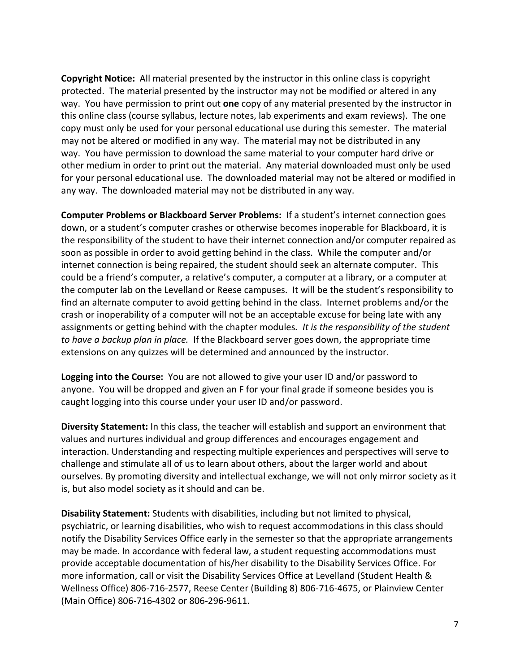**Copyright Notice:** All material presented by the instructor in this online class is copyright protected. The material presented by the instructor may not be modified or altered in any way. You have permission to print out **one** copy of any material presented by the instructor in this online class (course syllabus, lecture notes, lab experiments and exam reviews). The one copy must only be used for your personal educational use during this semester. The material may not be altered or modified in any way. The material may not be distributed in any way. You have permission to download the same material to your computer hard drive or other medium in order to print out the material. Any material downloaded must only be used for your personal educational use. The downloaded material may not be altered or modified in any way. The downloaded material may not be distributed in any way.

**Computer Problems or Blackboard Server Problems:** If a student's internet connection goes down, or a student's computer crashes or otherwise becomes inoperable for Blackboard, it is the responsibility of the student to have their internet connection and/or computer repaired as soon as possible in order to avoid getting behind in the class. While the computer and/or internet connection is being repaired, the student should seek an alternate computer. This could be a friend's computer, a relative's computer, a computer at a library, or a computer at the computer lab on the Levelland or Reese campuses. It will be the student's responsibility to find an alternate computer to avoid getting behind in the class. Internet problems and/or the crash or inoperability of a computer will not be an acceptable excuse for being late with any assignments or getting behind with the chapter modules*. It is the responsibility of the student to have a backup plan in place.* If the Blackboard server goes down, the appropriate time extensions on any quizzes will be determined and announced by the instructor.

**Logging into the Course:** You are not allowed to give your user ID and/or password to anyone. You will be dropped and given an F for your final grade if someone besides you is caught logging into this course under your user ID and/or password.

**Diversity Statement:** In this class, the teacher will establish and support an environment that values and nurtures individual and group differences and encourages engagement and interaction. Understanding and respecting multiple experiences and perspectives will serve to challenge and stimulate all of us to learn about others, about the larger world and about ourselves. By promoting diversity and intellectual exchange, we will not only mirror society as it is, but also model society as it should and can be.

**Disability Statement:** Students with disabilities, including but not limited to physical, psychiatric, or learning disabilities, who wish to request accommodations in this class should notify the Disability Services Office early in the semester so that the appropriate arrangements may be made. In accordance with federal law, a student requesting accommodations must provide acceptable documentation of his/her disability to the Disability Services Office. For more information, call or visit the Disability Services Office at Levelland (Student Health & Wellness Office) 806-716-2577, Reese Center (Building 8) 806-716-4675, or Plainview Center (Main Office) 806-716-4302 or 806-296-9611.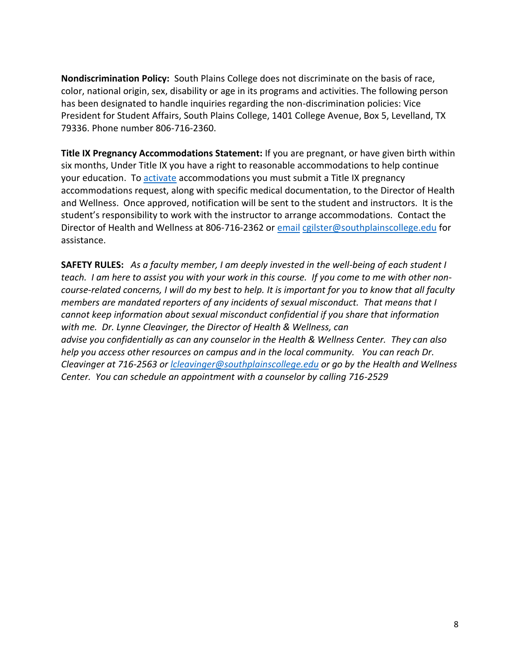**Nondiscrimination Policy:** South Plains College does not discriminate on the basis of race, color, national origin, sex, disability or age in its programs and activities. The following person has been designated to handle inquiries regarding the non-discrimination policies: Vice President for Student Affairs, South Plains College, 1401 College Avenue, Box 5, Levelland, TX 79336. Phone number 806-716-2360.

**Title IX Pregnancy Accommodations Statement:** If you are pregnant, or have given birth within six months, Under Title IX you have a right to reasonable accommodations to help continue your education. To [activate](http://www.southplainscollege.edu/employees/manualshandbooks/facultyhandbook/sec4.php) accommodations you must submit a Title IX pregnancy accommodations request, along with specific medical documentation, to the Director of Health and Wellness. Once approved, notification will be sent to the student and instructors. It is the student's responsibility to work with the instructor to arrange accommodations. Contact the Director of Health and Wellness at 806-716-2362 or [email](http://www.southplainscollege.edu/employees/manualshandbooks/facultyhandbook/sec4.php) [cgilster@southplainscollege.edu](mailto:cgilster@southplainscollege.edu) for assistance.

**SAFETY RULES:** *As a faculty member, I am deeply invested in the well-being of each student I teach. I am here to assist you with your work in this course. If you come to me with other noncourse-related concerns, I will do my best to help. It is important for you to know that all faculty members are mandated reporters of any incidents of sexual misconduct. That means that I cannot keep information about sexual misconduct confidential if you share that information with me. Dr. Lynne Cleavinger, the Director of Health & Wellness, can advise you confidentially as can any counselor in the Health & Wellness Center. They can also help you access other resources on campus and in the local community. You can reach Dr. Cleavinger at 716-2563 or [lcleavinger@southplainscollege.edu](mailto:lcleavinger@southplainscollege.edu) or go by the Health and Wellness Center. You can schedule an appointment with a counselor by calling 716-2529*